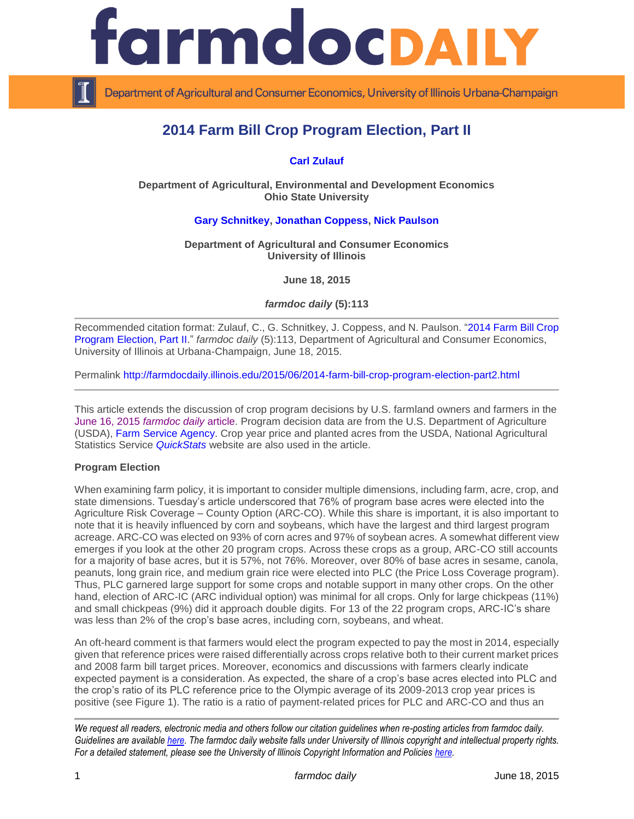

Department of Agricultural and Consumer Economics, University of Illinois Urbana-Champaign

# **2014 Farm Bill Crop Program Election, Part II**

## **[Carl Zulauf](http://aede.osu.edu/our-people/carl-zulauf)**

**Department of Agricultural, Environmental and Development Economics Ohio State University**

#### **[Gary Schnitkey,](http://farmdoc.illinois.edu/schnitkey/) [Jonathan Coppess,](http://farmdoc.illinois.edu/coppess) [Nick Paulson](http://farmdoc.illinois.edu/paulson)**

**Department of Agricultural and Consumer Economics University of Illinois**

**June 18, 2015**

*farmdoc daily* **(5):113**

Recommended citation format: Zulauf, C., G. Schnitkey, J. Coppess, and N. Paulson. ["2014 Farm Bill Crop](http://farmdocdaily.illinois.edu/2015/06/2014-farm-bill-crop-program-election-part2.html)  [Program Election, Part II.](http://farmdocdaily.illinois.edu/2015/06/2014-farm-bill-crop-program-election-part2.html)" *farmdoc daily* (5):113, Department of Agricultural and Consumer Economics, University of Illinois at Urbana-Champaign, June 18, 2015.

Permalink <http://farmdocdaily.illinois.edu/2015/06/2014-farm-bill-crop-program-election-part2.html>

This article extends the discussion of crop program decisions by U.S. farmland owners and farmers in the [June 16, 2015](http://farmdocdaily.illinois.edu/2015/06/perspectives-on-commodity-program-choices.html) *farmdoc daily* article. Program decision data are from the U.S. Department of Agriculture (USDA), [Farm Service Agency.](http://www.fsa.usda.gov/programs-and-services/arcplc_program/index) Crop year price and planted acres from the USDA, National Agricultural Statistics Service *[QuickStats](http://www.usda.gov/oce/commodity/wasde/index.htm)* website are also used in the article.

#### **Program Election**

When examining farm policy, it is important to consider multiple dimensions, including farm, acre, crop, and state dimensions. Tuesday's article underscored that 76% of program base acres were elected into the Agriculture Risk Coverage – County Option (ARC-CO). While this share is important, it is also important to note that it is heavily influenced by corn and soybeans, which have the largest and third largest program acreage. ARC-CO was elected on 93% of corn acres and 97% of soybean acres. A somewhat different view emerges if you look at the other 20 program crops. Across these crops as a group, ARC-CO still accounts for a majority of base acres, but it is 57%, not 76%. Moreover, over 80% of base acres in sesame, canola, peanuts, long grain rice, and medium grain rice were elected into PLC (the Price Loss Coverage program). Thus, PLC garnered large support for some crops and notable support in many other crops. On the other hand, election of ARC-IC (ARC individual option) was minimal for all crops. Only for large chickpeas (11%) and small chickpeas (9%) did it approach double digits. For 13 of the 22 program crops, ARC-IC's share was less than 2% of the crop's base acres, including corn, soybeans, and wheat.

An oft-heard comment is that farmers would elect the program expected to pay the most in 2014, especially given that reference prices were raised differentially across crops relative both to their current market prices and 2008 farm bill target prices. Moreover, economics and discussions with farmers clearly indicate expected payment is a consideration. As expected, the share of a crop's base acres elected into PLC and the crop's ratio of its PLC reference price to the Olympic average of its 2009-2013 crop year prices is positive (see Figure 1). The ratio is a ratio of payment-related prices for PLC and ARC-CO and thus an

*We request all readers, electronic media and others follow our citation guidelines when re-posting articles from farmdoc daily. Guidelines are available [here.](http://farmdocdaily.illinois.edu/citationguide.html) The farmdoc daily website falls under University of Illinois copyright and intellectual property rights. For a detailed statement, please see the University of Illinois Copyright Information and Policies [here.](http://www.cio.illinois.edu/policies/copyright/)*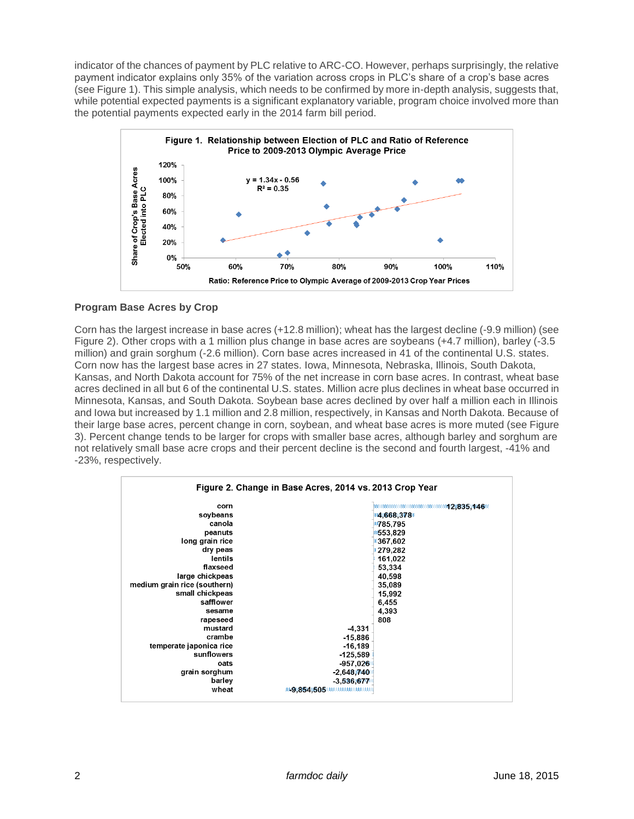indicator of the chances of payment by PLC relative to ARC-CO. However, perhaps surprisingly, the relative payment indicator explains only 35% of the variation across crops in PLC's share of a crop's base acres (see Figure 1). This simple analysis, which needs to be confirmed by more in-depth analysis, suggests that, while potential expected payments is a significant explanatory variable, program choice involved more than the potential payments expected early in the 2014 farm bill period.



## **Program Base Acres by Crop**

Corn has the largest increase in base acres (+12.8 million); wheat has the largest decline (-9.9 million) (see Figure 2). Other crops with a 1 million plus change in base acres are soybeans (+4.7 million), barley (-3.5 million) and grain sorghum (-2.6 million). Corn base acres increased in 41 of the continental U.S. states. Corn now has the largest base acres in 27 states. Iowa, Minnesota, Nebraska, Illinois, South Dakota, Kansas, and North Dakota account for 75% of the net increase in corn base acres. In contrast, wheat base acres declined in all but 6 of the continental U.S. states. Million acre plus declines in wheat base occurred in Minnesota, Kansas, and South Dakota. Soybean base acres declined by over half a million each in Illinois and Iowa but increased by 1.1 million and 2.8 million, respectively, in Kansas and North Dakota. Because of their large base acres, percent change in corn, soybean, and wheat base acres is more muted (see Figure 3). Percent change tends to be larger for crops with smaller base acres, although barley and sorghum are not relatively small base acre crops and their percent decline is the second and fourth largest, -41% and -23%, respectively.

| corn                         |              |           |
|------------------------------|--------------|-----------|
| soybeans                     |              | 4,668,378 |
| canola                       |              | *785,795  |
| peanuts                      |              | 8553,829  |
| long grain rice              |              | 1367,602  |
| dry peas                     |              | 279,282   |
| lentils                      |              | 161,022   |
| flaxseed                     |              | 53,334    |
| large chickpeas              |              | 40,598    |
| medium grain rice (southern) |              | 35,089    |
| small chickpeas              |              | 15,992    |
| safflower                    |              | 6,455     |
| sesame                       |              | 4,393     |
| rapeseed                     |              | 808       |
| mustard                      | $-4,331$     |           |
| crambe                       | $-15,886$    |           |
| temperate japonica rice      | $-16,189$    |           |
| sunflowers                   | $-125.589$   |           |
| oats                         | $-957.026$   |           |
| grain sorghum                | $-2,648,740$ |           |
| barley                       | $-3,536,677$ |           |
| wheat                        |              |           |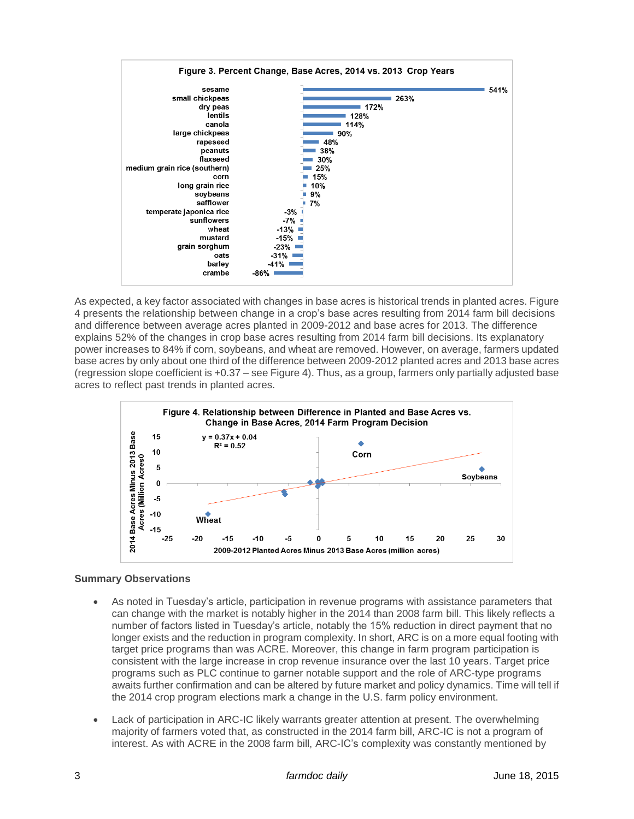

As expected, a key factor associated with changes in base acres is historical trends in planted acres. Figure 4 presents the relationship between change in a crop's base acres resulting from 2014 farm bill decisions and difference between average acres planted in 2009-2012 and base acres for 2013. The difference explains 52% of the changes in crop base acres resulting from 2014 farm bill decisions. Its explanatory power increases to 84% if corn, soybeans, and wheat are removed. However, on average, farmers updated base acres by only about one third of the difference between 2009-2012 planted acres and 2013 base acres (regression slope coefficient is +0.37 – see Figure 4). Thus, as a group, farmers only partially adjusted base acres to reflect past trends in planted acres.



## **Summary Observations**

- As noted in Tuesday's article, participation in revenue programs with assistance parameters that can change with the market is notably higher in the 2014 than 2008 farm bill. This likely reflects a number of factors listed in Tuesday's article, notably the 15% reduction in direct payment that no longer exists and the reduction in program complexity. In short, ARC is on a more equal footing with target price programs than was ACRE. Moreover, this change in farm program participation is consistent with the large increase in crop revenue insurance over the last 10 years. Target price programs such as PLC continue to garner notable support and the role of ARC-type programs awaits further confirmation and can be altered by future market and policy dynamics. Time will tell if the 2014 crop program elections mark a change in the U.S. farm policy environment.
- Lack of participation in ARC-IC likely warrants greater attention at present. The overwhelming majority of farmers voted that, as constructed in the 2014 farm bill, ARC-IC is not a program of interest. As with ACRE in the 2008 farm bill, ARC-IC's complexity was constantly mentioned by